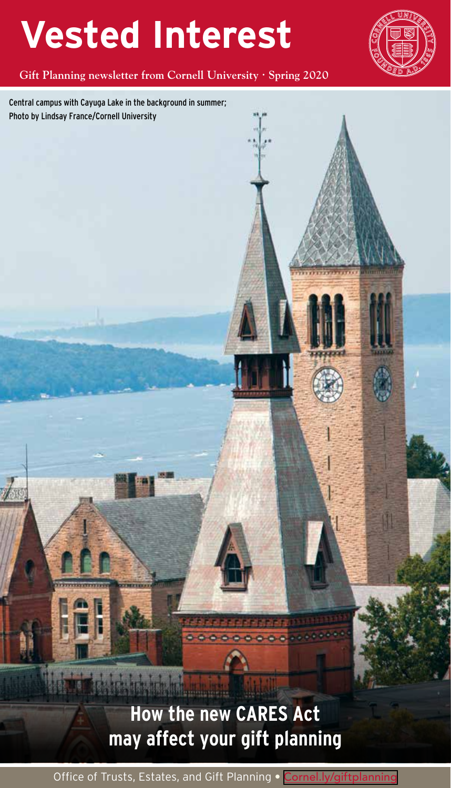# **Vested Interest**

**Gift Planning newsletter from Cornell University Spring 2020** 

Central campus with Cayuga Lake in the background in summer; Photo by Lindsay France/Cornell University

### **How the new CARES Act may affect your gift planning**

Office of Trusts, Estates, and Gift Planning • [Cornel.ly/giftplanning](https://Cornel.ly/giftplanning)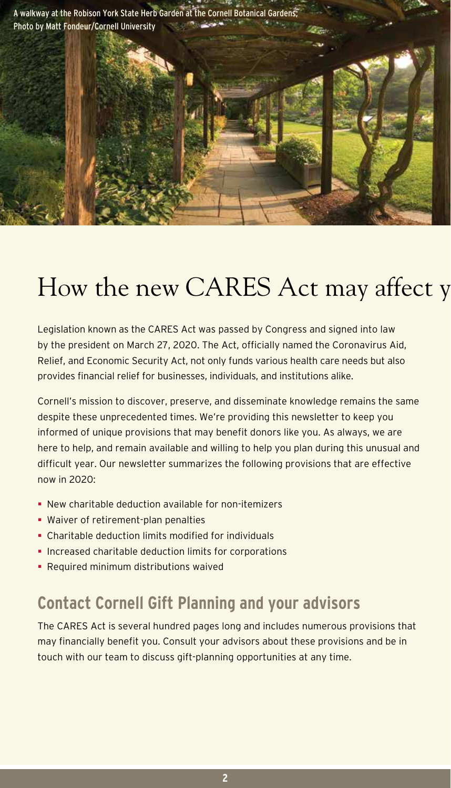

## How the new CARES Act may affect y

Legislation known as the CARES Act was passed by Congress and signed into law by the president on March 27, 2020. The Act, officially named the Coronavirus Aid, Relief, and Economic Security Act, not only funds various health care needs but also provides financial relief for businesses, individuals, and institutions alike.

Cornell's mission to discover, preserve, and disseminate knowledge remains the same despite these unprecedented times. We're providing this newsletter to keep you informed of unique provisions that may benefit donors like you. As always, we are here to help, and remain available and willing to help you plan during this unusual and difficult year. Our newsletter summarizes the following provisions that are effective now in 2020:

- New charitable deduction available for non-itemizers
- Waiver of retirement-plan penalties
- Charitable deduction limits modified for individuals
- **Increased charitable deduction limits for corporations**
- **Required minimum distributions waived**

### **Contact Cornell Gift Planning and your advisors**

The CARES Act is several hundred pages long and includes numerous provisions that may financially benefit you. Consult your advisors about these provisions and be in touch with our team to discuss gift-planning opportunities at any time.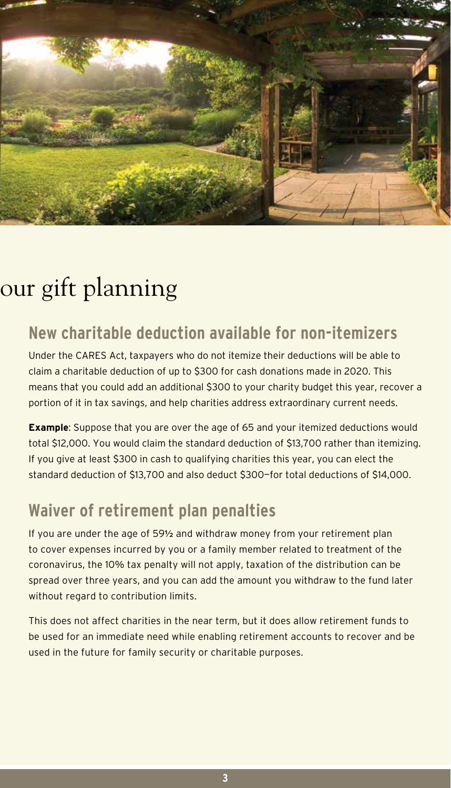

### our gift planning

### **New charitable deduction available for non-itemizers**

Under the CARES Act, taxpayers who do not itemize their deductions will be able to claim a charitable deduction of up to \$300 for cash donations made in 2020. This means that you could add an additional \$300 to your charity budget this year, recover a portion of it in tax savings, and help charities address extraordinary current needs.

**Example:** Suppose that you are over the age of 65 and your itemized deductions would total \$12,000. You would claim the standard deduction of \$13,700 rather than itemizing. If you give at least \$300 in cash to qualifying charities this year, you can elect the standard deduction of \$13,700 and also deduct \$300—for total deductions of \$14,000.

### **Waiver of retirement plan penalties**

If you are under the age of 59**½** and withdraw money from your retirement plan to cover expenses incurred by you or a family member related to treatment of the coronavirus, the 10% tax penalty will not apply, taxation of the distribution can be spread over three years, and you can add the amount you withdraw to the fund later without regard to contribution limits.

This does not affect charities in the near term, but it does allow retirement funds to be used for an immediate need while enabling retirement accounts to recover and be used in the future for family security or charitable purposes.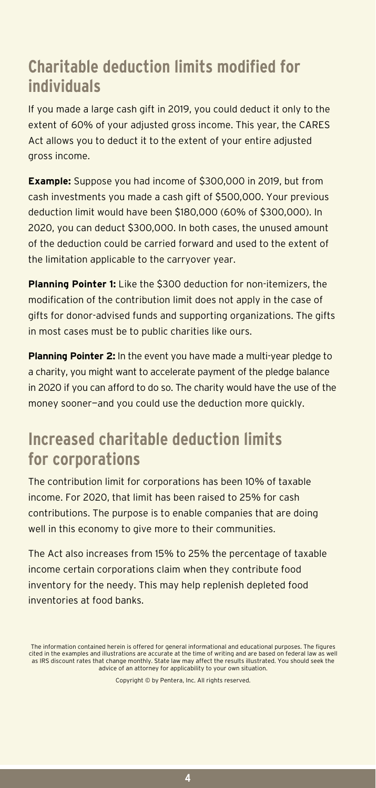### **Charitable deduction limits modified for individuals**

If you made a large cash gift in 2019, you could deduct it only to the extent of 60% of your adjusted gross income. This year, the CARES Act allows you to deduct it to the extent of your entire adjusted gross income.

**Example:** Suppose you had income of \$300,000 in 2019, but from cash investments you made a cash gift of \$500,000. Your previous deduction limit would have been \$180,000 (60% of \$300,000). In 2020, you can deduct \$300,000. In both cases, the unused amount of the deduction could be carried forward and used to the extent of the limitation applicable to the carryover year.

**Planning Pointer 1:** Like the \$300 deduction for non-itemizers, the modification of the contribution limit does not apply in the case of gifts for donor-advised funds and supporting organizations. The gifts in most cases must be to public charities like ours.

**Planning Pointer 2:** In the event you have made a multi-year pledge to a charity, you might want to accelerate payment of the pledge balance in 2020 if you can afford to do so. The charity would have the use of the money sooner—and you could use the deduction more quickly.

### **Increased charitable deduction limits for corporations**

The contribution limit for corporations has been 10% of taxable income. For 2020, that limit has been raised to 25% for cash contributions. The purpose is to enable companies that are doing well in this economy to give more to their communities.

The Act also increases from 15% to 25% the percentage of taxable income certain corporations claim when they contribute food inventory for the needy. This may help replenish depleted food inventories at food banks.

Copyright © by Pentera, Inc. All rights reserved.

The information contained herein is offered for general informational and educational purposes. The figures cited in the examples and illustrations are accurate at the time of writing and are based on federal law as well as IRS discount rates that change monthly. State law may affect the results illustrated. You should seek the advice of an attorney for applicability to your own situation.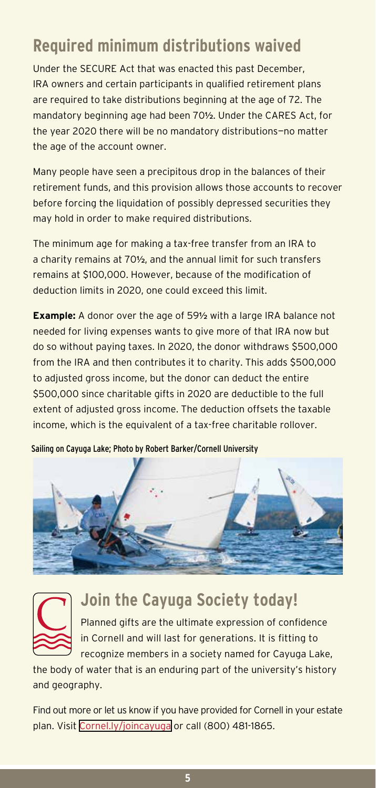### **Required minimum distributions waived**

Under the SECURE Act that was enacted this past December, IRA owners and certain participants in qualified retirement plans are required to take distributions beginning at the age of 72. The mandatory beginning age had been 70**½**. Under the CARES Act, for the year 2020 there will be no mandatory distributions—no matter the age of the account owner.

Many people have seen a precipitous drop in the balances of their retirement funds, and this provision allows those accounts to recover before forcing the liquidation of possibly depressed securities they may hold in order to make required distributions.

The minimum age for making a tax-free transfer from an IRA to a charity remains at 70**½**, and the annual limit for such transfers remains at \$100,000. However, because of the modification of deduction limits in 2020, one could exceed this limit.

**Example:** A donor over the age of 59**½** with a large IRA balance not needed for living expenses wants to give more of that IRA now but do so without paying taxes. In 2020, the donor withdraws \$500,000 from the IRA and then contributes it to charity. This adds \$500,000 to adjusted gross income, but the donor can deduct the entire \$500,000 since charitable gifts in 2020 are deductible to the full extent of adjusted gross income. The deduction offsets the taxable income, which is the equivalent of a tax-free charitable rollover.

Sailing on Cayuga Lake; Photo by Robert Barker/Cornell University





### **Join the Cayuga Society today!**

Planned gifts are the ultimate expression of confidence in Cornell and will last for generations. It is fitting to recognize members in a society named for Cayuga Lake,

the body of water that is an enduring part of the university's history and geography.

Find out more or let us know if you have provided for Cornell in your estate plan. Visit [Cornel.ly/joincayuga](https://Cornel.ly/joincayuga) or call (800) 481-1865.